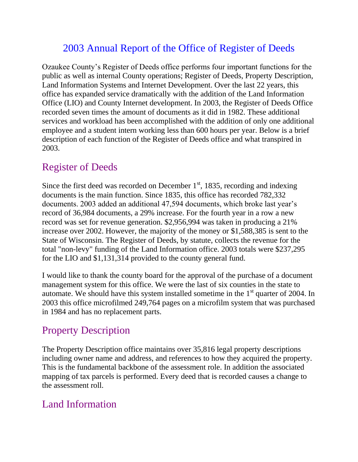# 2003 Annual Report of the Office of Register of Deeds

Ozaukee County's Register of Deeds office performs four important functions for the public as well as internal County operations; Register of Deeds, Property Description, Land Information Systems and Internet Development. Over the last 22 years, this office has expanded service dramatically with the addition of the Land Information Office (LIO) and County Internet development. In 2003, the Register of Deeds Office recorded seven times the amount of documents as it did in 1982. These additional services and workload has been accomplished with the addition of only one additional employee and a student intern working less than 600 hours per year. Below is a brief description of each function of the Register of Deeds office and what transpired in 2003.

#### Register of Deeds

Since the first deed was recorded on December  $1<sup>st</sup>$ , 1835, recording and indexing documents is the main function. Since 1835, this office has recorded 782,332 documents. 2003 added an additional 47,594 documents, which broke last year's record of 36,984 documents, a 29% increase. For the fourth year in a row a new record was set for revenue generation. \$2,956,994 was taken in producing a 21% increase over 2002. However, the majority of the money or \$1,588,385 is sent to the State of Wisconsin. The Register of Deeds, by statute, collects the revenue for the total "non-levy" funding of the Land Information office. 2003 totals were \$237,295 for the LIO and \$1,131,314 provided to the county general fund.

I would like to thank the county board for the approval of the purchase of a document management system for this office. We were the last of six counties in the state to automate. We should have this system installed sometime in the  $1<sup>st</sup>$  quarter of 2004. In 2003 this office microfilmed 249,764 pages on a microfilm system that was purchased in 1984 and has no replacement parts.

## Property Description

The Property Description office maintains over 35,816 legal property descriptions including owner name and address, and references to how they acquired the property. This is the fundamental backbone of the assessment role. In addition the associated mapping of tax parcels is performed. Every deed that is recorded causes a change to the assessment roll.

## Land Information